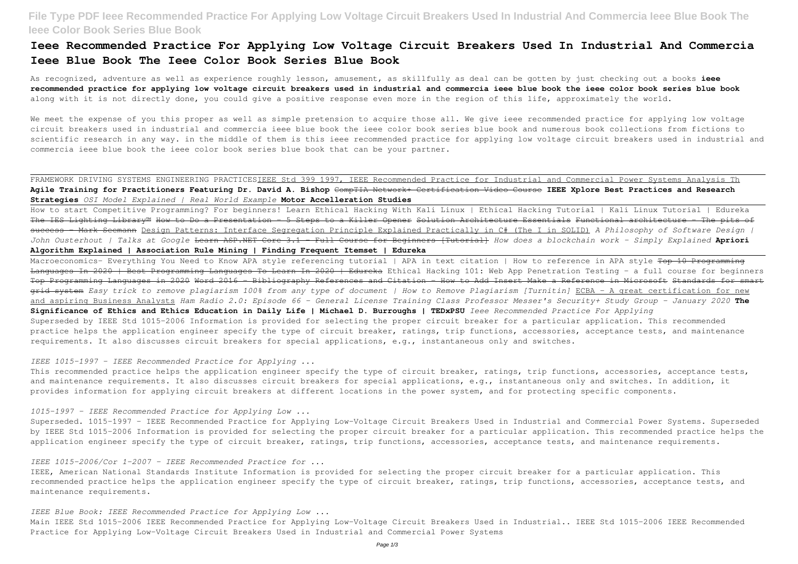# **File Type PDF Ieee Recommended Practice For Applying Low Voltage Circuit Breakers Used In Industrial And Commercia Ieee Blue Book The Ieee Color Book Series Blue Book**

As recognized, adventure as well as experience roughly lesson, amusement, as skillfully as deal can be gotten by just checking out a books **ieee recommended practice for applying low voltage circuit breakers used in industrial and commercia ieee blue book the ieee color book series blue book** along with it is not directly done, you could give a positive response even more in the region of this life, approximately the world.

## **Ieee Recommended Practice For Applying Low Voltage Circuit Breakers Used In Industrial And Commercia Ieee Blue Book The Ieee Color Book Series Blue Book**

We meet the expense of you this proper as well as simple pretension to acquire those all. We give ieee recommended practice for applying low voltage circuit breakers used in industrial and commercia ieee blue book the ieee color book series blue book and numerous book collections from fictions to scientific research in any way. in the middle of them is this ieee recommended practice for applying low voltage circuit breakers used in industrial and commercia ieee blue book the ieee color book series blue book that can be your partner.

FRAMEWORK DRIVING SYSTEMS ENGINEERING PRACTICESIEEE Std 399 1997, IEEE Recommended Practice for Industrial and Commercial Power Systems Analysis Th **Agile Training for Practitioners Featuring Dr. David A. Bishop** CompTIA Network+ Certification Video Course **IEEE Xplore Best Practices and Research Strategies** *OSI Model Explained | Real World Example* **Motor Accelleration Studies**

Macroeconomics- Everything You Need to Know APA style referencing tutorial | APA in text citation | How to reference in APA style <del>Top 10 Programming</del> Languages In 2020 | Best Programming Languages To Learn In 2020 | Edureka Ethical Hacking 101: Web App Penetration Testing - a full course for beginners Top Programming Languages in 2020 Word 2016 - Bibliography References and Citation - How to Add Insert Make a Reference in Microsoft Standards for smart grid system *Easy trick to remove plagiarism 100% from any type of document | How to Remove Plagiarism [Turnitin]* ECBA - A great certification for new and aspiring Business Analysts *Ham Radio 2.0: Episode 66 - General License Training Class Professor Messer's Security+ Study Group - January 2020* **The Significance of Ethics and Ethics Education in Daily Life | Michael D. Burroughs | TEDxPSU** *Ieee Recommended Practice For Applying* Superseded by IEEE Std 1015-2006 Information is provided for selecting the proper circuit breaker for a particular application. This recommended practice helps the application engineer specify the type of circuit breaker, ratings, trip functions, accessories, acceptance tests, and maintenance requirements. It also discusses circuit breakers for special applications, e.g., instantaneous only and switches.

How to start Competitive Programming? For beginners! Learn Ethical Hacking With Kali Linux | Ethical Hacking Tutorial | Kali Linux Tutorial | Edureka The IES Lighting Library™ How to Do a Presentation - 5 Steps to a Killer Opener Solution Architecture Essentials Functional architecture - The pits of success - Mark Seemann Design Patterns: Interface Segregation Principle Explained Practically in C# (The I in SOLID) *A Philosophy of Software Design | John Ousterhout | Talks at Google* Learn ASP.NET Core 3.1 - Full Course for Beginners [Tutorial] *How does a blockchain work - Simply Explained* **Apriori Algorithm Explained | Association Rule Mining | Finding Frequent Itemset | Edureka**

This recommended practice helps the application engineer specify the type of circuit breaker, ratings, trip functions, accessories, acceptance tests, and maintenance requirements. It also discusses circuit breakers for special applications, e.g., instantaneous only and switches. In addition, it provides information for applying circuit breakers at different locations in the power system, and for protecting specific components.

Superseded. 1015-1997 - IEEE Recommended Practice for Applying Low-Voltage Circuit Breakers Used in Industrial and Commercial Power Systems. Superseded by IEEE Std 1015-2006 Information is provided for selecting the proper circuit breaker for a particular application. This recommended practice helps the application engineer specify the type of circuit breaker, ratings, trip functions, accessories, acceptance tests, and maintenance requirements.

## *IEEE 1015-1997 - IEEE Recommended Practice for Applying ...*

### *1015-1997 - IEEE Recommended Practice for Applying Low ...*

#### *IEEE 1015-2006/Cor 1-2007 - IEEE Recommended Practice for ...*

IEEE, American National Standards Institute Information is provided for selecting the proper circuit breaker for a particular application. This recommended practice helps the application engineer specify the type of circuit breaker, ratings, trip functions, accessories, acceptance tests, and maintenance requirements.

### *IEEE Blue Book: IEEE Recommended Practice for Applying Low ...*

Main IEEE Std 1015-2006 IEEE Recommended Practice for Applying Low-Voltage Circuit Breakers Used in Industrial.. IEEE Std 1015-2006 IEEE Recommended Practice for Applying Low-Voltage Circuit Breakers Used in Industrial and Commercial Power Systems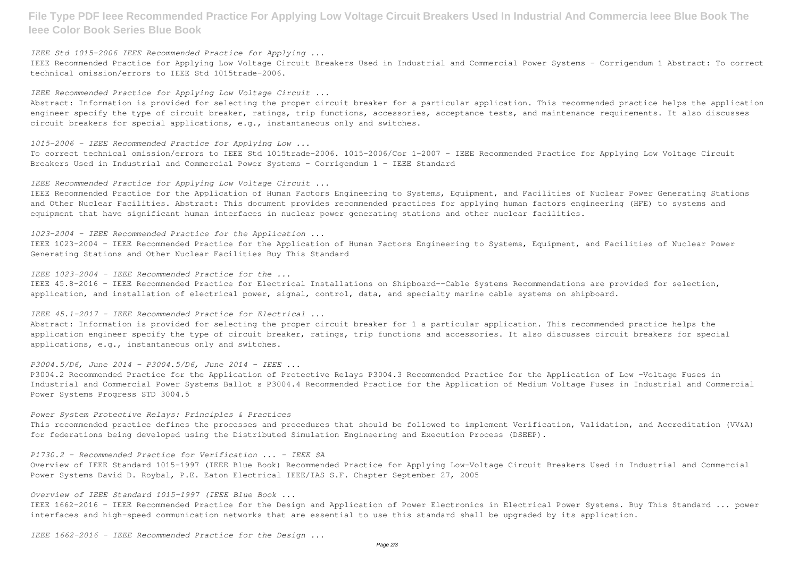**File Type PDF Ieee Recommended Practice For Applying Low Voltage Circuit Breakers Used In Industrial And Commercia Ieee Blue Book The Ieee Color Book Series Blue Book**

*IEEE Std 1015-2006 IEEE Recommended Practice for Applying ...*

IEEE Recommended Practice for Applying Low Voltage Circuit Breakers Used in Industrial and Commercial Power Systems - Corrigendum 1 Abstract: To correct technical omission/errors to IEEE Std 1015trade-2006.

*IEEE Recommended Practice for Applying Low Voltage Circuit ...*

Abstract: Information is provided for selecting the proper circuit breaker for a particular application. This recommended practice helps the application engineer specify the type of circuit breaker, ratings, trip functions, accessories, acceptance tests, and maintenance requirements. It also discusses circuit breakers for special applications, e.g., instantaneous only and switches.

*1015-2006 - IEEE Recommended Practice for Applying Low ...* To correct technical omission/errors to IEEE Std 1015trade-2006. 1015-2006/Cor 1-2007 - IEEE Recommended Practice for Applying Low Voltage Circuit Breakers Used in Industrial and Commercial Power Systems - Corrigendum 1 - IEEE Standard

*IEEE Recommended Practice for Applying Low Voltage Circuit ...*

IEEE Recommended Practice for the Application of Human Factors Engineering to Systems, Equipment, and Facilities of Nuclear Power Generating Stations and Other Nuclear Facilities. Abstract: This document provides recommended practices for applying human factors engineering (HFE) to systems and equipment that have significant human interfaces in nuclear power generating stations and other nuclear facilities.

*1023-2004 - IEEE Recommended Practice for the Application ...*

IEEE 1023-2004 - IEEE Recommended Practice for the Application of Human Factors Engineering to Systems, Equipment, and Facilities of Nuclear Power Generating Stations and Other Nuclear Facilities Buy This Standard

*IEEE 1023-2004 - IEEE Recommended Practice for the ...*

IEEE 45.8-2016 - IEEE Recommended Practice for Electrical Installations on Shipboard--Cable Systems Recommendations are provided for selection, application, and installation of electrical power, signal, control, data, and specialty marine cable systems on shipboard.

*IEEE 45.1-2017 - IEEE Recommended Practice for Electrical ...*

Abstract: Information is provided for selecting the proper circuit breaker for 1 a particular application. This recommended practice helps the application engineer specify the type of circuit breaker, ratings, trip functions and accessories. It also discusses circuit breakers for special applications, e.g., instantaneous only and switches.

*P3004.5/D6, June 2014 - P3004.5/D6, June 2014 - IEEE ...*

P3004.2 Recommended Practice for the Application of Protective Relays P3004.3 Recommended Practice for the Application of Low -Voltage Fuses in Industrial and Commercial Power Systems Ballot s P3004.4 Recommended Practice for the Application of Medium Voltage Fuses in Industrial and Commercial Power Systems Progress STD 3004.5

*Power System Protective Relays: Principles & Practices*

This recommended practice defines the processes and procedures that should be followed to implement Verification, Validation, and Accreditation (VV&A) for federations being developed using the Distributed Simulation Engineering and Execution Process (DSEEP).

*P1730.2 - Recommended Practice for Verification ... - IEEE SA*

Overview of IEEE Standard 1015-1997 (IEEE Blue Book) Recommended Practice for Applying Low-Voltage Circuit Breakers Used in Industrial and Commercial Power Systems David D. Roybal, P.E. Eaton Electrical IEEE/IAS S.F. Chapter September 27, 2005

*Overview of IEEE Standard 1015-1997 (IEEE Blue Book ...*

IEEE 1662-2016 - IEEE Recommended Practice for the Design and Application of Power Electronics in Electrical Power Systems. Buy This Standard ... power interfaces and high-speed communication networks that are essential to use this standard shall be upgraded by its application.

*IEEE 1662-2016 - IEEE Recommended Practice for the Design ...*